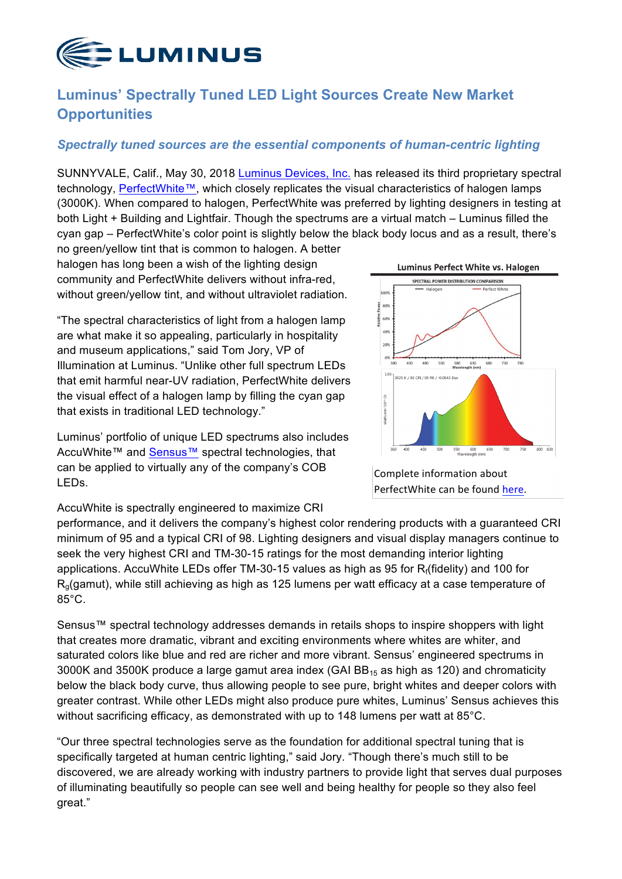

## **Luminus' Spectrally Tuned LED Light Sources Create New Market Opportunities**

## *Spectrally tuned sources are the essential components of human-centric lighting*

SUNNYVALE, Calif., May 30, 2018 Luminus [Devices, Inc.](http://luminus.com) has released its third proprietary spectral technology, [PerfectWhite™](https://www.luminus.com/products/cobarrays/perfectwhite-cob), which closely replicates the visual characteristics of halogen lamps (3000K). When compared to halogen, PerfectWhite was preferred by lighting designers in testing at both Light + Building and Lightfair. Though the spectrums are a virtual match – Luminus filled the cyan gap – PerfectWhite's color point is slightly below the black body locus and as a result, there's

no green/yellow tint that is common to halogen. A better halogen has long been a wish of the lighting design community and PerfectWhite delivers without infra-red, without green/yellow tint, and without ultraviolet radiation.

"The spectral characteristics of light from a halogen lamp are what make it so appealing, particularly in hospitality and museum applications," said Tom Jory, VP of Illumination at Luminus. "Unlike other full spectrum LEDs that emit harmful near-UV radiation, PerfectWhite delivers the visual effect of a halogen lamp by filling the cyan gap that exists in traditional LED technology."

Luminus' portfolio of unique LED spectrums also includes AccuWhite™ and [Sensus™](https://www.luminus.com/products/cobarrays/sensus-cob) spectral technologies, that can be applied to virtually any of the company's COB LEDs.



Complete information about PerfectWhite can be found here.

AccuWhite is spectrally engineered to maximize CRI

performance, and it delivers the company's highest color rendering products with a guaranteed CRI minimum of 95 and a typical CRI of 98. Lighting designers and visual display managers continue to seek the very highest CRI and TM-30-15 ratings for the most demanding interior lighting applications. AccuWhite LEDs offer TM-30-15 values as high as 95 for Rf(fidelity) and 100 for Rg(gamut), while still achieving as high as 125 lumens per watt efficacy at a case temperature of 85°C.

Sensus™ spectral technology addresses demands in retails shops to inspire shoppers with light that creates more dramatic, vibrant and exciting environments where whites are whiter, and saturated colors like blue and red are richer and more vibrant. Sensus' engineered spectrums in 3000K and 3500K produce a large gamut area index (GAI  $BB_{15}$  as high as 120) and chromaticity below the black body curve, thus allowing people to see pure, bright whites and deeper colors with greater contrast. While other LEDs might also produce pure whites, Luminus' Sensus achieves this without sacrificing efficacy, as demonstrated with up to 148 lumens per watt at 85°C.

"Our three spectral technologies serve as the foundation for additional spectral tuning that is specifically targeted at human centric lighting," said Jory. "Though there's much still to be discovered, we are already working with industry partners to provide light that serves dual purposes of illuminating beautifully so people can see well and being healthy for people so they also feel great."